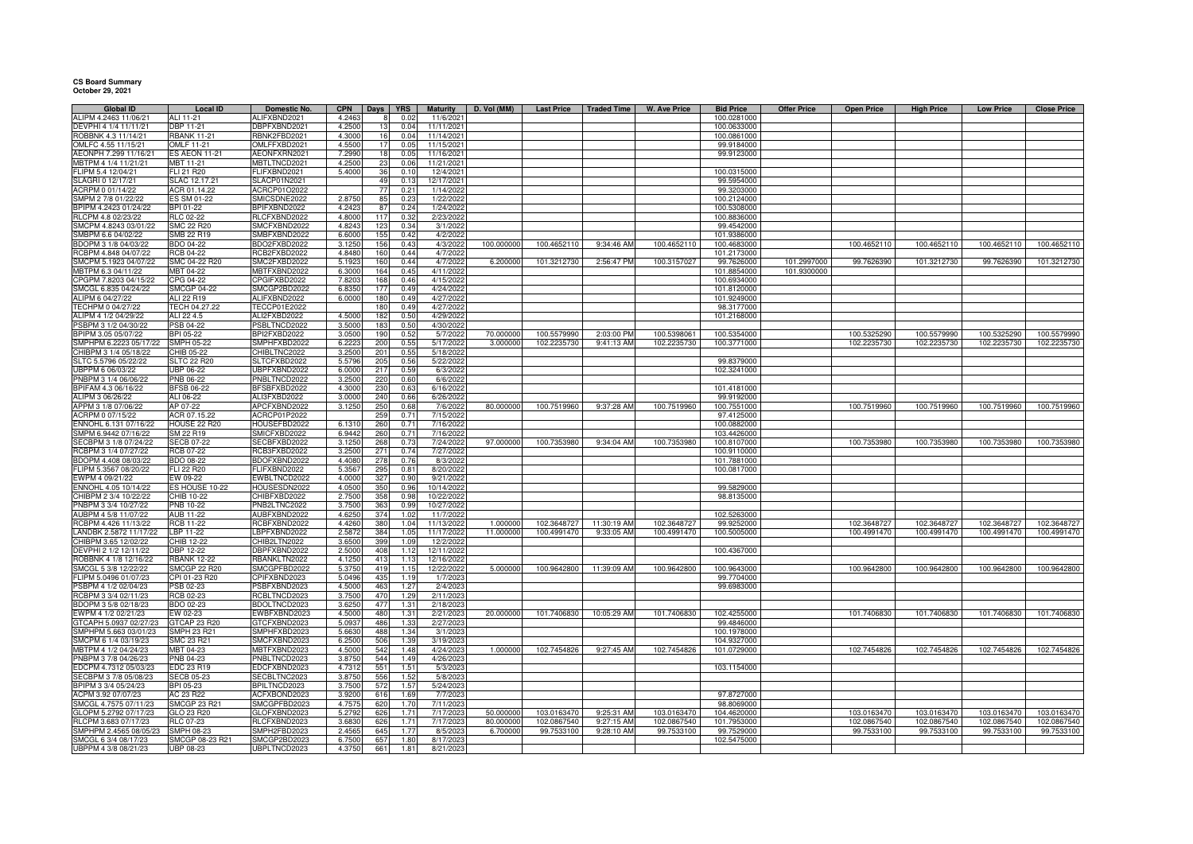## **CS Board Summary October 29, 2021**

| Global ID              | Local ID             | Domestic No.        | <b>CPN</b> | Days            | YRS  | <b>Maturity</b> | D. Vol (MM) | <b>Last Price</b> | <b>Traded Time</b> | W. Ave Price | <b>Bid Price</b> | <b>Offer Price</b> | <b>Open Price</b> | <b>High Price</b> | <b>Low Price</b> | <b>Close Price</b> |
|------------------------|----------------------|---------------------|------------|-----------------|------|-----------------|-------------|-------------------|--------------------|--------------|------------------|--------------------|-------------------|-------------------|------------------|--------------------|
| ALIPM 4.2463 11/06/21  | ALI 11-21            | ALIFXBND2021        | 4.2463     |                 | 0.02 | 11/6/2021       |             |                   |                    |              | 100.0281000      |                    |                   |                   |                  |                    |
| DEVPHI 4 1/4 11/11/21  | <b>DBP 11-21</b>     | DBPFXBND2021        | 4.2500     |                 | 0.04 | 11/11/2021      |             |                   |                    |              | 100.0633000      |                    |                   |                   |                  |                    |
| ROBBNK 4.3 11/14/21    | <b>RBANK 11-21</b>   | RBNK2FBD2021        | 4.3000     | 16              | 0.04 | 11/14/2021      |             |                   |                    |              | 100.0861000      |                    |                   |                   |                  |                    |
| OMLFC 4.55 11/15/21    | OMLF 11-21           | OMLFFXBD2021        | 4.5500     |                 | 0.05 | 11/15/2021      |             |                   |                    |              | 99.9184000       |                    |                   |                   |                  |                    |
| AEONPH 7.299 11/16/21  | <b>ES AEON 11-21</b> | AEONFXRN2021        | 7.2990     |                 | 0.05 | 11/16/2021      |             |                   |                    |              | 99.9123000       |                    |                   |                   |                  |                    |
| MBTPM 4 1/4 11/21/21   | MBT 11-21            | MBTLTNCD2021        | 4.2500     | 23              | 0.06 | 11/21/2021      |             |                   |                    |              |                  |                    |                   |                   |                  |                    |
| LIPM 5.4 12/04/21      | FLI 21 R20           | FLIFXBND2021        | 5.4000     | 36              | 0.1  | 12/4/2021       |             |                   |                    |              | 100.0315000      |                    |                   |                   |                  |                    |
| SLAGRI 0 12/17/21      | SLAC 12.17.21        |                     |            | 49              | 0.13 |                 |             |                   |                    |              |                  |                    |                   |                   |                  |                    |
|                        |                      | SLACP01N2021        |            |                 |      | 12/17/2021      |             |                   |                    |              | 99.5954000       |                    |                   |                   |                  |                    |
| ACRPM 0 01/14/22       | ACR 01.14.22         | ACRCP01O2022        |            | 77              | 0.21 | 1/14/2022       |             |                   |                    |              | 99.3203000       |                    |                   |                   |                  |                    |
| MPM 2 7/8 01/22/22     | ES SM 01-22          | SMICSDNE2022        | 2.8750     | 85              | 0.2  | 1/22/202        |             |                   |                    |              | 100.2124000      |                    |                   |                   |                  |                    |
| PIPM 4.2423 01/24/22   | BPI 01-22            | BPIFXBND2022        | 4.242      | 87              | 0.24 | 1/24/2022       |             |                   |                    |              | 100.5308000      |                    |                   |                   |                  |                    |
| RLCPM 4.8 02/23/22     | RLC 02-22            | RLCFXBND2022        | 4.8000     | 117             | 0.32 | 2/23/2022       |             |                   |                    |              | 100.8836000      |                    |                   |                   |                  |                    |
| SMCPM 4.8243 03/01/22  | SMC 22 R20           | SMCFXBND2022        | 4.8243     | 123             | 0.34 | 3/1/2022        |             |                   |                    |              | 99.4542000       |                    |                   |                   |                  |                    |
| SMBPM 6.6 04/02/22     | SMB 22 R19           | SMBFXBND2022        | 6.6000     | 155             | 0.42 | 4/2/2022        |             |                   |                    |              | 101.9386000      |                    |                   |                   |                  |                    |
| BDOPM 3 1/8 04/03/22   | BDO 04-22            | BDO2FXBD2022        | 3.1250     | 156             | 0.43 | 4/3/2022        | 100.000000  | 100.4652110       | 9:34:46 AM         | 100.4652110  | 100.4683000      |                    | 100.4652110       | 100.4652110       | 100.4652110      | 100.4652110        |
| RCBPM 4.848 04/07/22   | <b>RCB 04-22</b>     | RCB2FXBD2022        | 4.8480     | 160             | 0.44 | 4/7/2022        |             |                   |                    |              | 101.2173000      |                    |                   |                   |                  |                    |
| SMCPM 5.1923 04/07/22  | SMC 04-22 R20        | SMC2FXBD2022        | 5.1923     | 160             | 0.44 | 4/7/2022        | 6.200000    | 101.3212730       | 2:56:47 PM         | 100.3157027  | 99.7626000       | 101.2997000        | 99.7626390        | 101.3212730       | 99.7626390       | 101.3212730        |
| MBTPM 6.3 04/11/22     | MBT 04-22            | MBTFXBND2022        | 6.3000     | 164             | 0.45 | 4/11/2022       |             |                   |                    |              | 101.8854000      | 101.9300000        |                   |                   |                  |                    |
|                        |                      |                     |            |                 |      |                 |             |                   |                    |              | 100.6934000      |                    |                   |                   |                  |                    |
| CPGPM 7.8203 04/15/22  | CPG 04-22            | CPGIFXBD2022        | 7.8203     | 168             | 0.46 | 4/15/2022       |             |                   |                    |              |                  |                    |                   |                   |                  |                    |
| SMCGL 6.835 04/24/22   | <b>SMCGP 04-22</b>   | SMCGP2BD2022        | 6.835      | 17              | 0.49 | 4/24/2022       |             |                   |                    |              | 101.8120000      |                    |                   |                   |                  |                    |
| ALIPM 6 04/27/22       | ALI 22 R19           | ALIFXBND2022        | 6.0000     | 180             | 0.49 | 4/27/2022       |             |                   |                    |              | 101.9249000      |                    |                   |                   |                  |                    |
| TECHPM 0 04/27/22      | TECH 04.27.22        | <b>TECCP01E2022</b> |            | 180             | 0.49 | 4/27/2022       |             |                   |                    |              | 98.3177000       |                    |                   |                   |                  |                    |
| ALIPM 4 1/2 04/29/22   | ALI 22 4.5           | ALI2FXBD2022        | 4.5000     | 182             | 0.5C | 4/29/2022       |             |                   |                    |              | 101.2168000      |                    |                   |                   |                  |                    |
| SBPM 3 1/2 04/30/22    | PSB 04-22            | PSBLTNCD2022        | 3.5000     | 183             | 0.50 | 4/30/2022       |             |                   |                    |              |                  |                    |                   |                   |                  |                    |
| BPIPM 3.05 05/07/22    | BPI 05-22            | BPI2FXBD2022        | 3.0500     | 190             | 0.52 | 5/7/2022        | 70.00000    | 100.5579990       | 2:03:00 PM         | 100.5398061  | 100.5354000      |                    | 100.5325290       | 100.5579990       | 100.5325290      | 100.5579990        |
| SMPHPM 6.2223 05/17/22 | <b>SMPH 05-22</b>    | SMPHFXBD2022        | 6.2223     | 200             | 0.55 | 5/17/2022       | 3.000000    | 102.2235730       | 9:41:13 AM         | 102.2235730  | 100.3771000      |                    | 102.2235730       | 102.2235730       | 102.2235730      | 102.2235730        |
| CHIBPM 3 1/4 05/18/22  | CHIB 05-22           | CHIBLTNC2022        | 3.2500     | 201             | 0.55 | 5/18/2022       |             |                   |                    |              |                  |                    |                   |                   |                  |                    |
| SLTC 5.5796 05/22/22   | <b>SLTC 22 R20</b>   | SLTCFXBD2022        | 5.5796     | 205             | 0.56 | 5/22/2022       |             |                   |                    |              | 99.8379000       |                    |                   |                   |                  |                    |
|                        |                      |                     |            | 217             |      |                 |             |                   |                    |              |                  |                    |                   |                   |                  |                    |
| UBPPM 6 06/03/22       | <b>UBP 06-22</b>     | UBPFXBND2022        | 6.0000     |                 | 0.59 | 6/3/2022        |             |                   |                    |              | 102.3241000      |                    |                   |                   |                  |                    |
| PNBPM 3 1/4 06/06/22   | PNB 06-22            | PNBLTNCD2022        | 3.250      | 220             | 0.60 | 6/6/2022        |             |                   |                    |              |                  |                    |                   |                   |                  |                    |
| PIFAM 4.3 06/16/22     | <b>BFSB 06-22</b>    | BFSBFXBD2022        | 4.3000     | 230             | 0.63 | 6/16/2022       |             |                   |                    |              | 101.4181000      |                    |                   |                   |                  |                    |
| ALIPM 3 06/26/22       | ALI 06-22            | ALI3FXBD2022        | 3.0000     | 240             | 0.66 | 6/26/2022       |             |                   |                    |              | 99.9192000       |                    |                   |                   |                  |                    |
| APPM 3 1/8 07/06/22    | AP 07-22             | APCFXBND2022        | 3.1250     | 250             | 0.68 | 7/6/2022        | 80.000000   | 100.7519960       | 9:37:28 AM         | 100.7519960  | 100.7551000      |                    | 100.7519960       | 100.7519960       | 100.7519960      | 100.7519960        |
| ACRPM 0 07/15/22       | ACR 07.15.22         | ACRCP01P2022        |            | 259             | 0.71 | 7/15/2022       |             |                   |                    |              | 97.4125000       |                    |                   |                   |                  |                    |
| NNOHL 6.131 07/16/22   | HOUSE 22 R20         | HOUSEFBD2022        | 6.1310     | 260             | 0.71 | 7/16/2022       |             |                   |                    |              | 100.0882000      |                    |                   |                   |                  |                    |
| SMPM 6.9442 07/16/22   | SM 22 R19            | SMICFXBD2022        | 6.9442     | 260             | 0.71 | 7/16/2022       |             |                   |                    |              | 103.4426000      |                    |                   |                   |                  |                    |
| SECBPM 3 1/8 07/24/22  | <b>SECB 07-22</b>    | SECBFXBD2022        | 3.1250     | 268             | 0.73 | 7/24/2022       | 97.000000   | 100.7353980       | 9:34:04 AM         | 100.7353980  | 100.8107000      |                    | 100.7353980       | 100.7353980       | 100.7353980      | 100.7353980        |
| RCBPM 3 1/4 07/27/22   | <b>RCB 07-22</b>     | RCB3FXBD2022        | 3.2500     | 271             | 0.74 | 7/27/2022       |             |                   |                    |              | 100.9110000      |                    |                   |                   |                  |                    |
|                        |                      |                     |            |                 |      |                 |             |                   |                    |              |                  |                    |                   |                   |                  |                    |
| BDOPM 4.408 08/03/22   | <b>BDO 08-22</b>     | BDOFXBND2022        | 4.408      | 278             | 0.7( | 8/3/2022        |             |                   |                    |              | 101.7881000      |                    |                   |                   |                  |                    |
| FLIPM 5.3567 08/20/22  | FLI 22 R20           | FLIFXBND2022        | 5.356      | 295             | 0.81 | 8/20/2022       |             |                   |                    |              | 100.0817000      |                    |                   |                   |                  |                    |
| EWPM 4 09/21/22        | EW 09-22             | EWBLTNCD2022        | 4.0000     | 327             | 0.90 | 9/21/2022       |             |                   |                    |              |                  |                    |                   |                   |                  |                    |
| ENNOHL 4.05 10/14/22   | ES HOUSE 10-22       | HOUSESDN2022        | 4.0500     | 35 <sub>0</sub> | 0.96 | 10/14/2022      |             |                   |                    |              | 99.5829000       |                    |                   |                   |                  |                    |
| HIBPM 2 3/4 10/22/22   | CHIB 10-22           | CHIBFXBD2022        | 2.750      | 358             | 0.9  | 10/22/2022      |             |                   |                    |              | 98.8135000       |                    |                   |                   |                  |                    |
| PNBPM 3 3/4 10/27/22   | PNB 10-22            | PNB2LTNC2022        | 3.7500     | 363             | 0.99 | 10/27/2022      |             |                   |                    |              |                  |                    |                   |                   |                  |                    |
| AUBPM 4 5/8 11/07/22   | AUB 11-22            | AUBFXBND2022        | 4.6250     | 374             | 1.02 | 11/7/2022       |             |                   |                    |              | 102.5263000      |                    |                   |                   |                  |                    |
| RCBPM 4.426 11/13/22   | <b>RCB 11-22</b>     | RCBFXBND2022        | 4.4260     | 380             | 1.04 | 11/13/2022      | 1.00000     | 102.3648727       | 11:30:19 AM        | 102.3648727  | 99.9252000       |                    | 102.3648727       | 102.3648727       | 102.3648727      | 102.3648727        |
| LANDBK 2.5872 11/17/22 | LBP 11-22            | LBPFXBND2022        | 2.5872     | 384             | 1.05 | 11/17/2022      | 11.000000   | 100.4991470       | 9:33:05 AM         | 100.4991470  | 100.5005000      |                    | 100.4991470       | 100.4991470       | 100.4991470      | 100.4991470        |
| CHIBPM 3.65 12/02/22   | CHIB 12-22           | CHIB2LTN2022        | 3.6500     | 399             | 1.09 | 12/2/2022       |             |                   |                    |              |                  |                    |                   |                   |                  |                    |
| DEVPHI 2 1/2 12/11/22  | <b>DBP 12-22</b>     | DBPFXBND2022        | 2.5000     | 408             | 112  | 12/11/2022      |             |                   |                    |              | 100.4367000      |                    |                   |                   |                  |                    |
|                        |                      |                     |            |                 |      |                 |             |                   |                    |              |                  |                    |                   |                   |                  |                    |
| ROBBNK 4 1/8 12/16/22  | <b>RBANK 12-22</b>   | RBANKLTN2022        | 4.1250     | 413             | 1.13 | 12/16/2022      |             |                   |                    |              |                  |                    |                   |                   |                  |                    |
| SMCGL 5 3/8 12/22/22   | SMCGP 22 R20         | SMCGPFBD2022        | 5.3750     | 419             | 1.15 | 12/22/2022      | 5.000000    | 100.9642800       | 11:39:09 AM        | 100.9642800  | 100.9643000      |                    | 100.9642800       | 100.9642800       | 100.9642800      | 100.9642800        |
| FLIPM 5.0496 01/07/23  | CPI 01-23 R20        | CPIFXBND2023        | 5.0496     | 435             | 1.19 | 1/7/2023        |             |                   |                    |              | 99.7704000       |                    |                   |                   |                  |                    |
| SBPM 4 1/2 02/04/23    | PSB 02-23            | PSBFXBND2023        | 4.500      | 46              | 1.27 | 2/4/2023        |             |                   |                    |              | 99.6983000       |                    |                   |                   |                  |                    |
| RCBPM 3 3/4 02/11/23   | RCB 02-23            | RCBLTNCD2023        | 3.7500     | 470             | 1.29 | 2/11/2023       |             |                   |                    |              |                  |                    |                   |                   |                  |                    |
| BDOPM 3 5/8 02/18/23   | BDO 02-23            | BDOLTNCD2023        | 3.625      | 47              | 1.31 | 2/18/2023       |             |                   |                    |              |                  |                    |                   |                   |                  |                    |
| EWPM 4 1/2 02/21/23    | EW 02-23             | EWBFXBND2023        | 4.5000     | 480             | 1.31 | 2/21/2023       | 20.000000   | 101.7406830       | 10:05:29 AM        | 101.7406830  | 102.4255000      |                    | 101.7406830       | 101.7406830       | 101.7406830      | 101.7406830        |
| TCAPH 5.0937 02/27/23  | GTCAP 23 R20         | GTCFXBND2023        | 5.093      | 486             | 1.33 | 2/27/2023       |             |                   |                    |              | 99.4846000       |                    |                   |                   |                  |                    |
| SMPHPM 5.663 03/01/23  | MPH 23 R21           | SMPHFXBD2023        | 5.663      | 488             | 1.34 | 3/1/202         |             |                   |                    |              | 100.1978000      |                    |                   |                   |                  |                    |
| SMCPM 6 1/4 03/19/23   |                      | SMCFXBND2023        | 6.2500     | 506             | 1.39 | 3/19/2023       |             |                   |                    |              | 104.9327000      |                    |                   |                   |                  |                    |
|                        | SMC 23 R21           |                     |            |                 |      |                 |             |                   |                    |              |                  |                    |                   |                   |                  |                    |
| MBTPM 4 1/2 04/24/23   | MBT 04-23            | MBTFXBND2023        | 4.5000     | 542             | 1.48 | 4/24/2023       | 1.000000    | 102.7454826       | 9:27:45 AM         | 102.7454826  | 101.0729000      |                    | 102.7454826       | 102.7454826       | 102.7454826      | 102.7454826        |
| PNBPM 3 7/8 04/26/23   | PNB 04-23            | PNBLTNCD2023        | 3.8750     | 544             | 1.49 | 4/26/2023       |             |                   |                    |              |                  |                    |                   |                   |                  |                    |
| EDCPM 4.7312 05/03/23  | EDC 23 R19           | EDCFXBND2023        | 4.7312     | 551             | 1.51 | 5/3/2023        |             |                   |                    |              | 103.1154000      |                    |                   |                   |                  |                    |
| SECBPM 3 7/8 05/08/23  | <b>SECB 05-23</b>    | SECBLTNC2023        | 3.8750     | 556             | 1.52 | 5/8/2023        |             |                   |                    |              |                  |                    |                   |                   |                  |                    |
| BPIPM 3 3/4 05/24/23   | BPI 05-23            | BPILTNCD2023        | 3.750      | 572             | 1.57 | 5/24/2023       |             |                   |                    |              |                  |                    |                   |                   |                  |                    |
| ACPM 3.92 07/07/23     | AC 23 R22            | ACFXBOND2023        | 3.9200     | 616             | 1.69 | 7/7/2023        |             |                   |                    |              | 97.8727000       |                    |                   |                   |                  |                    |
| SMCGL 4.7575 07/11/23  | <b>SMCGP 23 R21</b>  | SMCGPFBD2023        | 4.757      | 620             | 1.70 | 7/11/2023       |             |                   |                    |              | 98.8069000       |                    |                   |                   |                  |                    |
| GLOPM 5.2792 07/17/23  | GLO 23 R20           | GLOFXBND2023        | 5.2792     | 626             | 1.71 | 7/17/2023       | 50,000000   | 103.0163470       | 9:25:31 AM         | 103.0163470  | 104.4620000      |                    | 103.0163470       | 103.0163470       | 103.0163470      | 103.0163470        |
| RLCPM 3.683 07/17/23   | RLC 07-23            | RLCFXBND2023        | 3.683      | 626             | 1.71 | 7/17/202        | 80.000000   | 102.0867540       | 9:27:15 AM         | 102.0867540  | 101.7953000      |                    | 102.0867540       | 102.0867540       | 102.0867540      | 102.0867540        |
|                        |                      |                     |            |                 |      |                 |             |                   |                    |              |                  |                    |                   |                   |                  |                    |
| SMPHPM 2.4565 08/05/23 | SMPH 08-23           | SMPH2FBD2023        | 2.4565     | 645             | 1.77 | 8/5/202         | 6.700000    | 99.7533100        | 9:28:10 AM         | 99.7533100   | 99.7529000       |                    | 99.7533100        | 99.7533100        | 99.7533100       | 99.7533100         |
| SMCGL 6 3/4 08/17/23   | SMCGP 08-23 R21      | SMCGP2BD2023        | 6.7500     | 657             | 1.80 | 8/17/2023       |             |                   |                    |              | 102.5475000      |                    |                   |                   |                  |                    |
| UBPPM 4 3/8 08/21/23   | <b>UBP 08-23</b>     | UBPLTNCD2023        | 4.3750     | 661             | 1.81 | 8/21/2023       |             |                   |                    |              |                  |                    |                   |                   |                  |                    |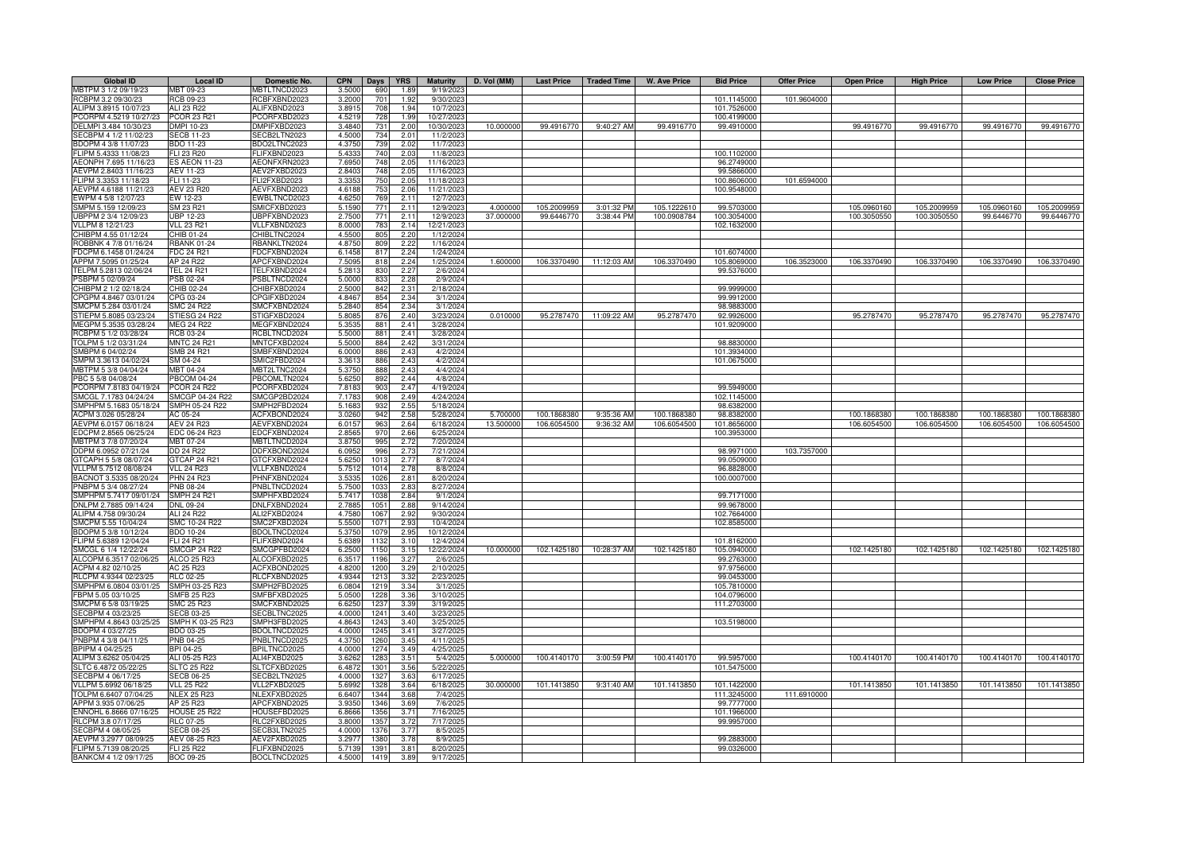| <b>Global ID</b>       | <b>Local ID</b>      | Domestic No.        | <b>CPN</b> | Days | <b>YRS</b> | <b>Maturity</b> | D. Vol (MM) | <b>Last Price</b> | <b>Traded Time</b>     | <b>W. Ave Price</b> | <b>Bid Price</b> | <b>Offer Price</b> | <b>Open Price</b> | <b>High Price</b> | <b>Low Price</b> | <b>Close Price</b> |
|------------------------|----------------------|---------------------|------------|------|------------|-----------------|-------------|-------------------|------------------------|---------------------|------------------|--------------------|-------------------|-------------------|------------------|--------------------|
| MBTPM 3 1/2 09/19/23   | MBT 09-23            | MBTLTNCD2023        | 3.5000     | 690  | 1.89       | 9/19/202        |             |                   |                        |                     |                  |                    |                   |                   |                  |                    |
| RCBPM 3.2 09/30/23     | RCB 09-23            | RCBFXBND2023        | 3.2000     | 701  | 1.92       | 9/30/2023       |             |                   |                        |                     | 101.1145000      | 101.9604000        |                   |                   |                  |                    |
| ALIPM 3.8915 10/07/23  | ALI 23 R22           | ALIFXBND2023        | 3.8915     | 708  | 1.94       | 10/7/2023       |             |                   |                        |                     | 101.7526000      |                    |                   |                   |                  |                    |
| PCORPM 4.5219 10/27/23 | <b>PCOR 23 R21</b>   | PCORFXBD2023        | 4.5219     | 728  | 1.99       | 10/27/2023      |             |                   |                        |                     | 100.4199000      |                    |                   |                   |                  |                    |
| DELMPI 3.484 10/30/23  | DMPI 10-23           | DMPIFXBD2023        | 3.4840     | 731  | 2.00       | 10/30/202       | 10.000000   | 99.4916770        | 9:40:27 AM             | 99.4916770          | 99.4910000       |                    | 99.4916770        | 99.4916770        | 99.4916770       | 99.4916770         |
| SECBPM 4 1/2 11/02/23  | <b>SECB 11-23</b>    | SECB2LTN2023        | 4.5000     | 734  | 2.01       | 11/2/202        |             |                   |                        |                     |                  |                    |                   |                   |                  |                    |
| BDOPM 4 3/8 11/07/23   | BDO 11-23            | BDO2LTNC2023        | 4.3750     | 739  | 2.02       | 11/7/202        |             |                   |                        |                     |                  |                    |                   |                   |                  |                    |
| FLIPM 5.4333 11/08/23  | FLI 23 R20           | FLIFXBND2023        | 5.4333     | 740  | 2.03       | 11/8/2023       |             |                   |                        |                     | 100.1102000      |                    |                   |                   |                  |                    |
| AEONPH 7.695 11/16/23  | <b>ES AEON 11-23</b> | AEONFXRN2023        | 7.6950     | 748  | 2.05       | 11/16/202       |             |                   |                        |                     | 96.2749000       |                    |                   |                   |                  |                    |
| AEVPM 2.8403 11/16/23  | AEV 11-23            | AEV2FXBD2023        | 2.8403     | 748  | 2.05       | 11/16/202       |             |                   |                        |                     | 99.5866000       |                    |                   |                   |                  |                    |
| FLIPM 3.3353 11/18/23  | FLI 11-23            | <b>LI2FXBD2023</b>  | 3.335      | 750  | 2.05       | 11/18/202       |             |                   |                        |                     | 100.8606000      | 101.6594000        |                   |                   |                  |                    |
| AEVPM 4.6188 11/21/23  | <b>AEV 23 R20</b>    | AEVFXBND2023        | 4.618      | 753  | 2.06       | 11/21/202       |             |                   |                        |                     | 100.9548000      |                    |                   |                   |                  |                    |
| EWPM 4 5/8 12/07/23    | EW 12-23             | <b>EWBLTNCD2023</b> | 4.625      | 769  | 2.11       | 12/7/202        |             |                   |                        |                     |                  |                    |                   |                   |                  |                    |
| SMPM 5.159 12/09/23    | SM 23 R21            | SMICFXBD2023        | 5.1590     | 771  | 2.11       | 12/9/202        | 4.00000     | 105.2009959       | 3:01:32 PM             | 105.1222610         | 99.5703000       |                    | 105.0960160       | 105.2009959       | 105.0960160      | 105.2009959        |
| UBPPM 2 3/4 12/09/23   | <b>UBP 12-23</b>     | UBPFXBND2023        | 2.7500     | 771  | 2.11       | 12/9/202        | 37.00000    | 99.6446770        | 3:38:44 PM             | 100.0908784         | 100.3054000      |                    | 100.3050550       | 100.3050550       | 99.6446770       | 99.6446770         |
| VLLPM 8 12/21/23       | <b>VLL 23 R21</b>    | VLLFXBND2023        | 8.0000     | 783  | 2.14       | 12/21/202       |             |                   |                        |                     | 102.1632000      |                    |                   |                   |                  |                    |
| CHIBPM 4.55 01/12/24   | CHIB 01-24           | CHIBLTNC2024        | 4.550      | 805  | 2.20       | 1/12/2024       |             |                   |                        |                     |                  |                    |                   |                   |                  |                    |
| ROBBNK 4 7/8 01/16/24  | <b>RBANK 01-24</b>   | RBANKLTN2024        | 4.875      | 809  | 2.22       | 1/16/2024       |             |                   |                        |                     |                  |                    |                   |                   |                  |                    |
| FDCPM 6.1458 01/24/24  | <b>FDC 24 R21</b>    | FDCFXBND2024        | 6.145      | 817  | 2.24       | 1/24/2024       |             |                   |                        |                     | 101.6074000      |                    |                   |                   |                  |                    |
| APPM 7.5095 01/25/24   | AP 24 R22            | APCFXBND2024        | 7.509      | 818  | 2.24       | 1/25/2024       | 1.60000     | 106.3370490       | 11:12:03 AM            | 106.3370490         | 105.8069000      | 106.3523000        | 106.3370490       | 106.3370490       | 106.3370490      | 106.3370490        |
| TELPM 5.2813 02/06/24  | <b>TEL 24 R21</b>    | TELFXBND2024        | 5.281      | 830  | 2.27       | 2/6/202         |             |                   |                        |                     | 99.5376000       |                    |                   |                   |                  |                    |
| PSBPM 5 02/09/24       | PSB 02-24            | PSBLTNCD2024        | 5.000      | 833  | 2.28       | 2/9/202         |             |                   |                        |                     |                  |                    |                   |                   |                  |                    |
| CHIBPM 2 1/2 02/18/24  | CHIB 02-24           | CHIBFXBD2024        | 2.500      | 842  | 2.31       | 2/18/2024       |             |                   |                        |                     | 99.9999000       |                    |                   |                   |                  |                    |
| CPGPM 4.8467 03/01/24  | CPG 03-24            | CPGIFXBD2024        | 4.846      | 854  | 2.34       | 3/1/202         |             |                   |                        |                     | 99.9912000       |                    |                   |                   |                  |                    |
| SMCPM 5.284 03/01/24   | <b>SMC 24 R22</b>    | SMCFXBND2024        | 5.284      | 854  | 2.34       | 3/1/202         |             |                   |                        |                     | 98.9883000       |                    |                   |                   |                  |                    |
| STIEPM 5.8085 03/23/24 | STIESG 24 R22        | STIGFXBD2024        | 5.8085     | 876  | 2.40       | 3/23/2024       | 0.010000    |                   | 95.2787470 11:09:22 AM | 95.2787470          | 92.9926000       |                    | 95.2787470        | 95.2787470        | 95.2787470       | 95.2787470         |
| MEGPM 5.3535 03/28/24  | MEG 24 R22           | MEGFXBND2024        | 5.353      | 881  | 2.41       | 3/28/2024       |             |                   |                        |                     | 101.9209000      |                    |                   |                   |                  |                    |
| RCBPM 5 1/2 03/28/24   | RCB 03-24            | RCBLTNCD2024        |            | 881  | 2.41       |                 |             |                   |                        |                     |                  |                    |                   |                   |                  |                    |
|                        |                      |                     | 5.5000     | 884  |            | 3/28/2024       |             |                   |                        |                     |                  |                    |                   |                   |                  |                    |
| TOLPM 5 1/2 03/31/24   | <b>MNTC 24 R21</b>   | MNTCFXBD2024        | 5.5000     |      | 2.42       | 3/31/2024       |             |                   |                        |                     | 98.8830000       |                    |                   |                   |                  |                    |
| SMBPM 6 04/02/24       | <b>SMB 24 R21</b>    | SMBFXBND2024        | 6.0000     | 886  | 2.43       | 4/2/2024        |             |                   |                        |                     | 101.3934000      |                    |                   |                   |                  |                    |
| SMPM 3.3613 04/02/24   | SM 04-24             | SMIC2FBD2024        | 3.361      | 886  | 2.43       | 4/2/202         |             |                   |                        |                     | 101.0675000      |                    |                   |                   |                  |                    |
| MBTPM 5 3/8 04/04/24   | MBT 04-24            | MBT2LTNC2024        | 5.375      | 888  | 2.43       | 4/4/202         |             |                   |                        |                     |                  |                    |                   |                   |                  |                    |
| PBC 5 5/8 04/08/24     | <b>PBCOM 04-24</b>   | PBCOMLTN2024        | 5.625      | 892  | 2.44       | 4/8/2024        |             |                   |                        |                     |                  |                    |                   |                   |                  |                    |
| PCORPM 7.8183 04/19/24 | <b>PCOR 24 R22</b>   | PCORFXBD2024        | 7.818      | 903  | 2.47       | 4/19/2024       |             |                   |                        |                     | 99.5949000       |                    |                   |                   |                  |                    |
| SMCGL 7.1783 04/24/24  | SMCGP 04-24 R22      | SMCGP2BD2024        | 7.178      | 908  | 2.49       | 4/24/2024       |             |                   |                        |                     | 102.1145000      |                    |                   |                   |                  |                    |
| SMPHPM 5.1683 05/18/24 | SMPH 05-24 R22       | SMPH2FBD2024        | 5.168      | 932  | 2.55       | 5/18/202        |             |                   |                        |                     | 98.6382000       |                    |                   |                   |                  |                    |
| ACPM 3.026 05/28/24    | AC 05-24             | <b>ACFXBOND2024</b> | 3.026      | 942  | 2.58       | 5/28/202        | 5.700000    | 100.1868380       | 9:35:36 AM             | 100.1868380         | 98.8382000       |                    | 100.1868380       | 100.1868380       | 100.1868380      | 100.1868380        |
| AEVPM 6.0157 06/18/24  | <b>AEV 24 R23</b>    | EVFXBND2024         | 6.015      | 963  | 2.64       | 6/18/2024       | 13,500000   | 106.6054500       | 9:36:32 AM             | 106.6054500         | 101.8656000      |                    | 106.6054500       | 106.6054500       | 106.6054500      | 106.6054500        |
| EDCPM 2.8565 06/25/24  | EDC 06-24 R23        | DCFXBND2024         | 2.85       | 97   | 2.66       | 6/25/202        |             |                   |                        |                     | 100.3953000      |                    |                   |                   |                  |                    |
| MBTPM 3 7/8 07/20/24   | MBT 07-24            | /IBTLTNCD2024       | 3.875      | 995  | 2.72       | 7/20/202        |             |                   |                        |                     |                  |                    |                   |                   |                  |                    |
| DDPM 6.0952 07/21/24   | DD 24 R22            | DDFXBOND2024        | 6.095      | 996  | 2.73       | 7/21/2024       |             |                   |                        |                     | 98.9971000       | 103.7357000        |                   |                   |                  |                    |
| GTCAPH 5 5/8 08/07/24  | GTCAP 24 R21         | GTCFXBND2024        | 5.6250     | 101  | 2.77       | 8/7/2024        |             |                   |                        |                     | 99.0509000       |                    |                   |                   |                  |                    |
| VLLPM 5.7512 08/08/24  | <b>VLL 24 R23</b>    | VLLFXBND2024        | 5.7512     | 101  | 2.78       | 8/8/202         |             |                   |                        |                     | 96.8828000       |                    |                   |                   |                  |                    |
| BACNOT 3.5335 08/20/24 | <b>PHN 24 R23</b>    | PHNFXBND2024        | 3.533      | 1026 | 2.81       | 8/20/2024       |             |                   |                        |                     | 100.0007000      |                    |                   |                   |                  |                    |
| PNBPM 5 3/4 08/27/24   | <b>PNB 08-24</b>     | PNBLTNCD2024        | 5.7500     | 103  | 2.83       | 8/27/2024       |             |                   |                        |                     |                  |                    |                   |                   |                  |                    |
| SMPHPM 5.7417 09/01/24 | <b>SMPH 24 R21</b>   | SMPHFXBD2024        | 5.741      | 103  | 2.84       | 9/1/2024        |             |                   |                        |                     | 99.7171000       |                    |                   |                   |                  |                    |
| DNLPM 2.7885 09/14/24  | DNL 09-24            | DNLFXBND2024        | 2.788      | 105  | 2.88       | 9/14/202        |             |                   |                        |                     | 99.9678000       |                    |                   |                   |                  |                    |
| ALIPM 4.758 09/30/24   | ALI 24 R22           | ALI2FXBD2024        | 4.758      | 106  | 2.92       | 9/30/202        |             |                   |                        |                     | 102.7664000      |                    |                   |                   |                  |                    |
| SMCPM 5.55 10/04/24    | SMC 10-24 R22        | SMC2FXBD2024        | 5.550      | 107  | 2.93       | 10/4/202        |             |                   |                        |                     | 102.8585000      |                    |                   |                   |                  |                    |
| BDOPM 5 3/8 10/12/24   | BDO 10-24            | BDOLTNCD2024        | 5.375      | 1079 | 2.95       | 10/12/202       |             |                   |                        |                     |                  |                    |                   |                   |                  |                    |
| FLIPM 5.6389 12/04/24  | FLI 24 R21           | FLIFXBND2024        | 5.638      | 1132 | 310        | 12/4/202        |             |                   |                        |                     | 101.8162000      |                    |                   |                   |                  |                    |
| SMCGL 6 1/4 12/22/24   | <b>SMCGP 24 R22</b>  | SMCGPFBD2024        | 6.2500     | 1150 | 3.15       | 12/22/2024      | 10.000000   | 102.1425180       | 10:28:37 AM            | 102.1425180         | 105.0940000      |                    | 102.1425180       | 102.1425180       | 102.1425180      | 102.1425180        |
| ALCOPM 6.3517 02/06/25 | ALCO 25 R23          | ALCOFXBD2025        | 6.351      | 1196 | 3.27       | 2/6/202         |             |                   |                        |                     | 99.2763000       |                    |                   |                   |                  |                    |
| ACPM 4.82 02/10/25     | AC 25 R23            | ACFXBOND2025        | 4.8200     | 1200 | 3.29       | 2/10/202        |             |                   |                        |                     | 97.9756000       |                    |                   |                   |                  |                    |
| RLCPM 4.9344 02/23/25  | <b>RLC 02-25</b>     | RLCFXBND2025        | 4.9344     | 1213 | 3.32       | 2/23/202        |             |                   |                        |                     | 99.0453000       |                    |                   |                   |                  |                    |
| SMPHPM 6.0804 03/01/25 | SMPH 03-25 R23       | SMPH2FBD2025        | 6.0804     | 1219 | 3.34       | 3/1/2025        |             |                   |                        |                     | 105.7810000      |                    |                   |                   |                  |                    |
| FBPM 5.05 03/10/25     | <b>SMFB 25 R23</b>   | SMFBFXBD2025        | 5.0500     | 1228 | 3.36       | 3/10/202        |             |                   |                        |                     | 104.0796000      |                    |                   |                   |                  |                    |
| SMCPM 6 5/8 03/19/25   | <b>SMC 25 R23</b>    | <b>SMCFXBND2025</b> | 6.625      | 1237 | 3.39       | 3/19/202        |             |                   |                        |                     | 111.2703000      |                    |                   |                   |                  |                    |
| SECBPM 4 03/23/25      | <b>SECB 03-25</b>    | <b>SECBLTNC2025</b> | 4.0000     | 1241 | 3.40       | 3/23/202        |             |                   |                        |                     |                  |                    |                   |                   |                  |                    |
| SMPHPM 4.8643 03/25/25 | SMPH K 03-25 R23     | SMPH3FBD2025        | 4.8643     | 1243 | 3.40       | 3/25/202        |             |                   |                        |                     | 103.5198000      |                    |                   |                   |                  |                    |
| BDOPM 4 03/27/25       | BDO 03-25            | BDOLTNCD2025        | 4.0000     | 1245 | 3.41       | 3/27/202        |             |                   |                        |                     |                  |                    |                   |                   |                  |                    |
| PNBPM 4 3/8 04/11/25   | PNB 04-25            | NBLTNCD2025         | 4.3750     | 1260 | 3.45       | 4/11/202        |             |                   |                        |                     |                  |                    |                   |                   |                  |                    |
| BPIPM 4 04/25/25       | BPI 04-25            | <b>BPILTNCD2025</b> | 4.0000     | 1274 | 3.49       | 4/25/202        |             |                   |                        |                     |                  |                    |                   |                   |                  |                    |
| ALIPM 3.6262 05/04/25  | ALI 05-25 R23        | ALI4FXBD2025        | 3.626      | 1283 | 3.51       | 5/4/202         | 5.000000    | 100.4140170       | 3:00:59 PM             | 100.4140170         | 99.5957000       |                    | 100.4140170       | 100.4140170       | 100.4140170      | 100.4140170        |
| SLTC 6.4872 05/22/25   | <b>SLTC 25 R22</b>   | LTCFXBD2025         | 6.487      | 1301 | 3.56       | 5/22/202        |             |                   |                        |                     | 101.5475000      |                    |                   |                   |                  |                    |
| SECBPM 4 06/17/25      | <b>SECB 06-25</b>    | ECB2LTN2025         | 4.0000     | 1327 | 3.63       | 6/17/202        |             |                   |                        |                     |                  |                    |                   |                   |                  |                    |
|                        | <b>VLL 25 R22</b>    |                     |            |      |            |                 | 30.000000   |                   |                        | 101.1413850         | 101.1422000      |                    |                   | 101.1413850       | 101.1413850      |                    |
| VLLPM 5.6992 06/18/25  |                      | VLL2FXBD2025        | 5.699      | 1328 | 3.64       | 6/18/202        |             | 101.1413850       | 9:31:40 AM             |                     |                  | 111.6910000        | 101.1413850       |                   |                  | 101.1413850        |
| TOLPM 6.6407 07/04/25  | <b>NLEX 25 R23</b>   | NLEXFXBD2025        | 6.640      | 1344 | 3.68       | 7/4/202         |             |                   |                        |                     | 111.3245000      |                    |                   |                   |                  |                    |
| APPM 3.935 07/06/25    | AP 25 R23            | APCFXBND2025        | 3.935      | 1346 | 3.69       | 7/6/202         |             |                   |                        |                     | 99.7777000       |                    |                   |                   |                  |                    |
| ENNOHL 6.8666 07/16/25 | <b>HOUSE 25 R22</b>  | HOUSEFBD2025        | 6.866      | 1356 | 3.71       | 7/16/202        |             |                   |                        |                     | 101.1966000      |                    |                   |                   |                  |                    |
| RLCPM 3.8 07/17/25     | <b>RLC 07-25</b>     | RLC2FXBD2025        | 3.800      | 1357 | 3.72       | 7/17/202        |             |                   |                        |                     | 99.9957000       |                    |                   |                   |                  |                    |
| SECBPM 4 08/05/25      | <b>SECB 08-25</b>    | SECB3LTN2025        | 4.000      | 1376 | 3.77       | 8/5/202         |             |                   |                        |                     |                  |                    |                   |                   |                  |                    |
| AEVPM 3.2977 08/09/25  | AEV 08-25 R23        | AEV2FXBD2025        | 3.297      | 1380 | 3.78       | 8/9/202         |             |                   |                        |                     | 99.2883000       |                    |                   |                   |                  |                    |
| FLIPM 5.7139 08/20/25  | FLI 25 R22           | FLIFXBND2025        | 5.713      | 139  | 3.81       | 8/20/202        |             |                   |                        |                     | 99.0326000       |                    |                   |                   |                  |                    |
| BANKCM 4 1/2 09/17/25  | <b>BOC 09-25</b>     | BOCLTNCD2025        | 4.500      | 1419 | 3.89       | 9/17/202        |             |                   |                        |                     |                  |                    |                   |                   |                  |                    |